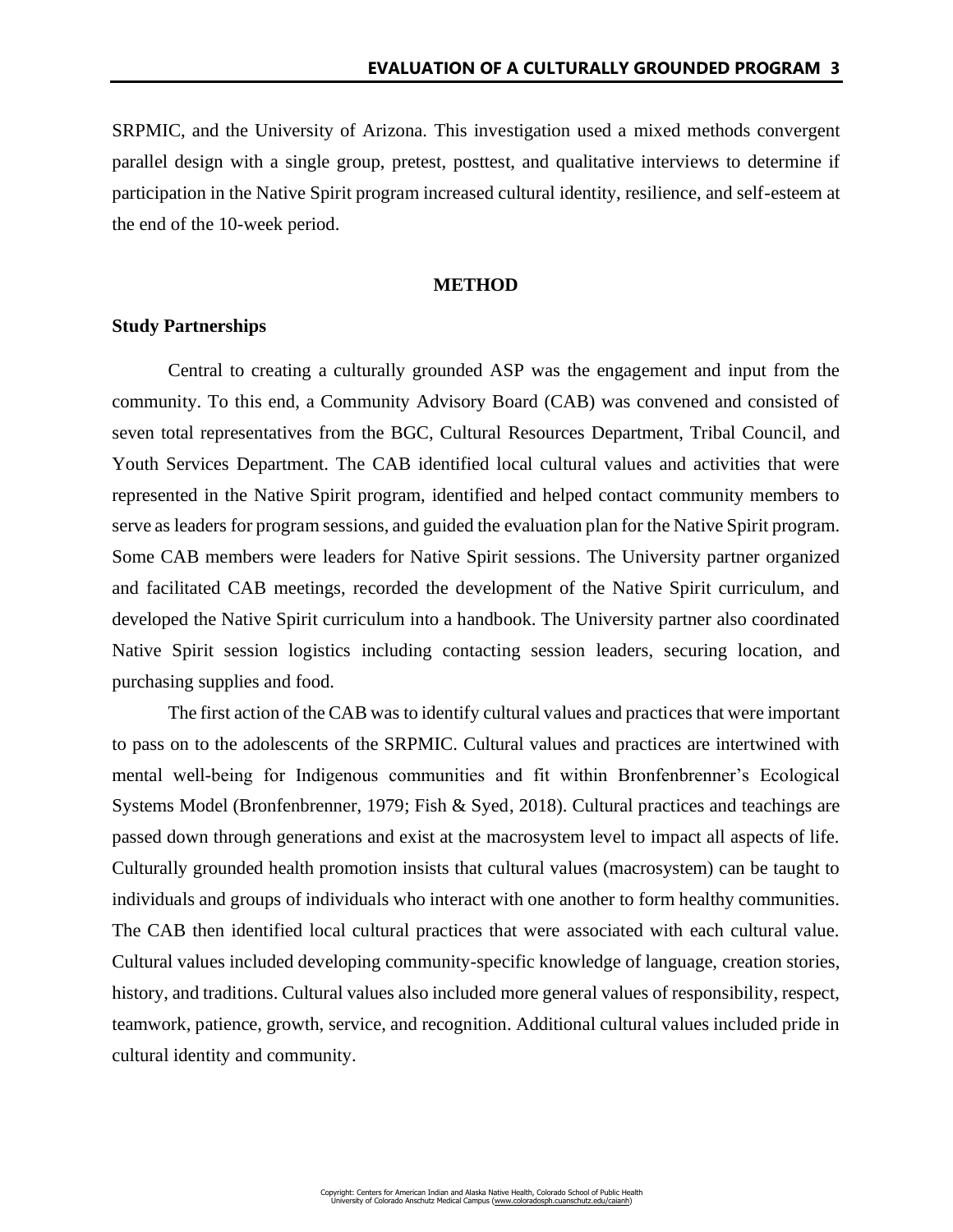SRPMIC, and the University of Arizona. This investigation used a mixed methods convergent parallel design with a single group, pretest, posttest, and qualitative interviews to determine if participation in the Native Spirit program increased cultural identity, resilience, and self-esteem at the end of the 10-week period.

## **METHOD**

# **Study Partnerships**

Central to creating a culturally grounded ASP was the engagement and input from the community. To this end, a Community Advisory Board (CAB) was convened and consisted of seven total representatives from the BGC, Cultural Resources Department, Tribal Council, and Youth Services Department. The CAB identified local cultural values and activities that were represented in the Native Spirit program, identified and helped contact community members to serve as leaders for program sessions, and guided the evaluation plan for the Native Spirit program. Some CAB members were leaders for Native Spirit sessions. The University partner organized and facilitated CAB meetings, recorded the development of the Native Spirit curriculum, and developed the Native Spirit curriculum into a handbook. The University partner also coordinated Native Spirit session logistics including contacting session leaders, securing location, and purchasing supplies and food.

The first action of the CAB was to identify cultural values and practices that were important to pass on to the adolescents of the SRPMIC. Cultural values and practices are intertwined with mental well-being for Indigenous communities and fit within Bronfenbrenner's Ecological Systems Model (Bronfenbrenner, 1979; Fish & Syed, 2018). Cultural practices and teachings are passed down through generations and exist at the macrosystem level to impact all aspects of life. Culturally grounded health promotion insists that cultural values (macrosystem) can be taught to individuals and groups of individuals who interact with one another to form healthy communities. The CAB then identified local cultural practices that were associated with each cultural value. Cultural values included developing community-specific knowledge of language, creation stories, history, and traditions. Cultural values also included more general values of responsibility, respect, teamwork, patience, growth, service, and recognition. Additional cultural values included pride in cultural identity and community.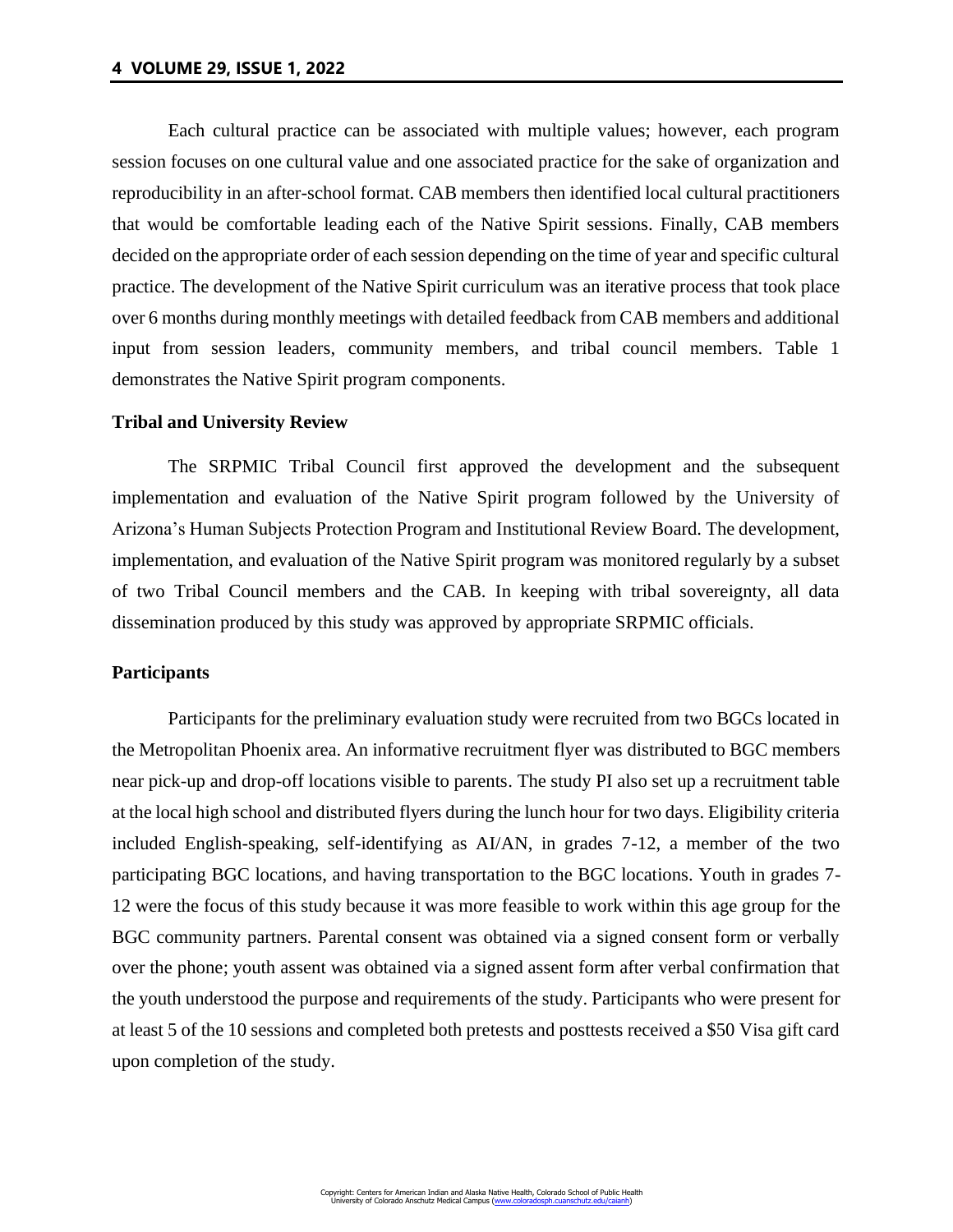Each cultural practice can be associated with multiple values; however, each program session focuses on one cultural value and one associated practice for the sake of organization and reproducibility in an after-school format. CAB members then identified local cultural practitioners that would be comfortable leading each of the Native Spirit sessions. Finally, CAB members decided on the appropriate order of each session depending on the time of year and specific cultural practice. The development of the Native Spirit curriculum was an iterative process that took place over 6 months during monthly meetings with detailed feedback from CAB members and additional input from session leaders, community members, and tribal council members. Table 1 demonstrates the Native Spirit program components.

## **Tribal and University Review**

The SRPMIC Tribal Council first approved the development and the subsequent implementation and evaluation of the Native Spirit program followed by the University of Arizona's Human Subjects Protection Program and Institutional Review Board. The development, implementation, and evaluation of the Native Spirit program was monitored regularly by a subset of two Tribal Council members and the CAB. In keeping with tribal sovereignty, all data dissemination produced by this study was approved by appropriate SRPMIC officials.

## **Participants**

Participants for the preliminary evaluation study were recruited from two BGCs located in the Metropolitan Phoenix area. An informative recruitment flyer was distributed to BGC members near pick-up and drop-off locations visible to parents. The study PI also set up a recruitment table at the local high school and distributed flyers during the lunch hour for two days. Eligibility criteria included English-speaking, self-identifying as AI/AN, in grades 7-12, a member of the two participating BGC locations, and having transportation to the BGC locations. Youth in grades 7- 12 were the focus of this study because it was more feasible to work within this age group for the BGC community partners. Parental consent was obtained via a signed consent form or verbally over the phone; youth assent was obtained via a signed assent form after verbal confirmation that the youth understood the purpose and requirements of the study. Participants who were present for at least 5 of the 10 sessions and completed both pretests and posttests received a \$50 Visa gift card upon completion of the study.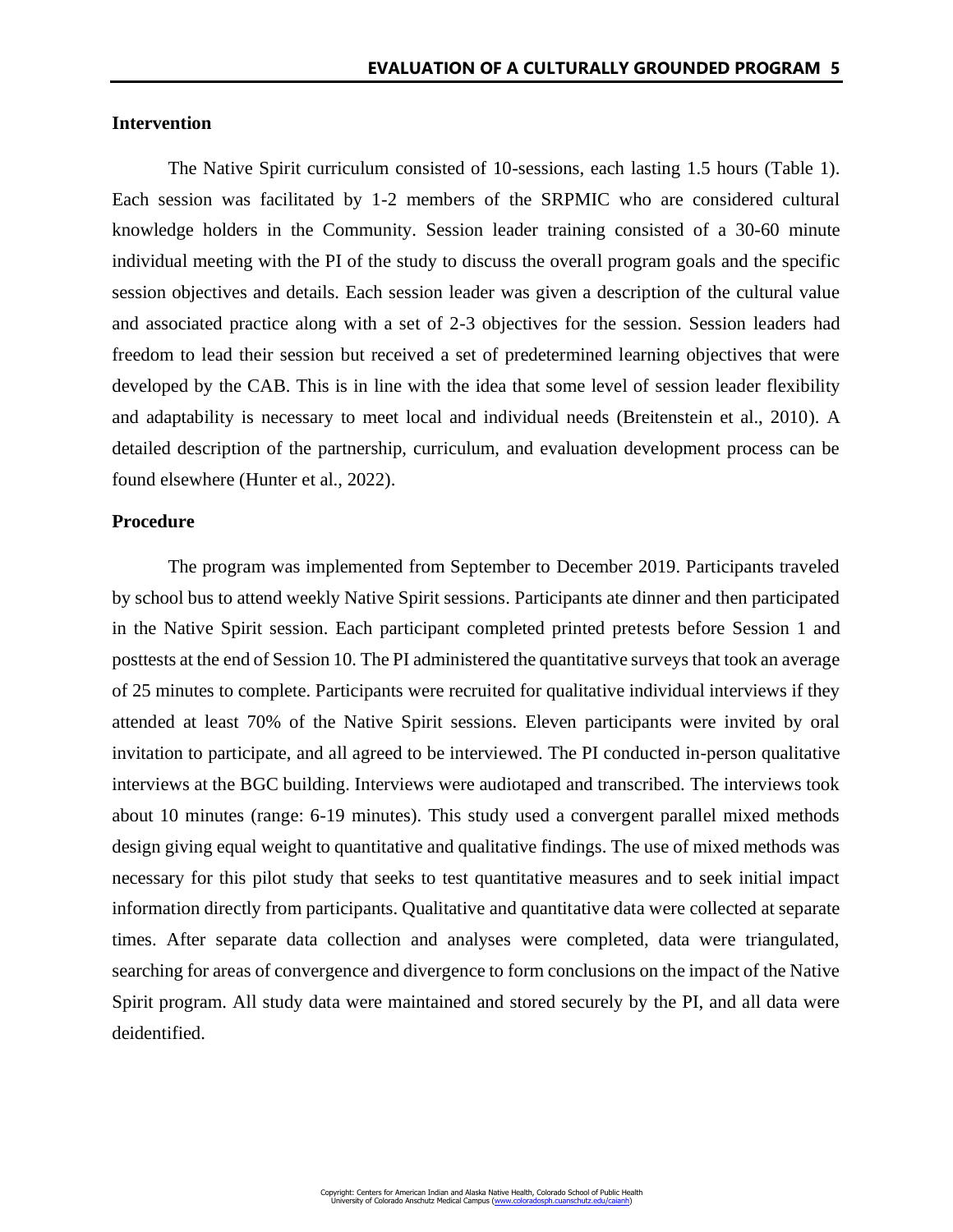# **Intervention**

The Native Spirit curriculum consisted of 10-sessions, each lasting 1.5 hours (Table 1). Each session was facilitated by 1-2 members of the SRPMIC who are considered cultural knowledge holders in the Community. Session leader training consisted of a 30-60 minute individual meeting with the PI of the study to discuss the overall program goals and the specific session objectives and details. Each session leader was given a description of the cultural value and associated practice along with a set of 2-3 objectives for the session. Session leaders had freedom to lead their session but received a set of predetermined learning objectives that were developed by the CAB. This is in line with the idea that some level of session leader flexibility and adaptability is necessary to meet local and individual needs (Breitenstein et al., 2010). A detailed description of the partnership, curriculum, and evaluation development process can be found elsewhere (Hunter et al., 2022).

## **Procedure**

The program was implemented from September to December 2019. Participants traveled by school bus to attend weekly Native Spirit sessions. Participants ate dinner and then participated in the Native Spirit session. Each participant completed printed pretests before Session 1 and posttests at the end of Session 10. The PI administered the quantitative surveys that took an average of 25 minutes to complete. Participants were recruited for qualitative individual interviews if they attended at least 70% of the Native Spirit sessions. Eleven participants were invited by oral invitation to participate, and all agreed to be interviewed. The PI conducted in-person qualitative interviews at the BGC building. Interviews were audiotaped and transcribed. The interviews took about 10 minutes (range: 6-19 minutes). This study used a convergent parallel mixed methods design giving equal weight to quantitative and qualitative findings. The use of mixed methods was necessary for this pilot study that seeks to test quantitative measures and to seek initial impact information directly from participants. Qualitative and quantitative data were collected at separate times. After separate data collection and analyses were completed, data were triangulated, searching for areas of convergence and divergence to form conclusions on the impact of the Native Spirit program. All study data were maintained and stored securely by the PI, and all data were deidentified.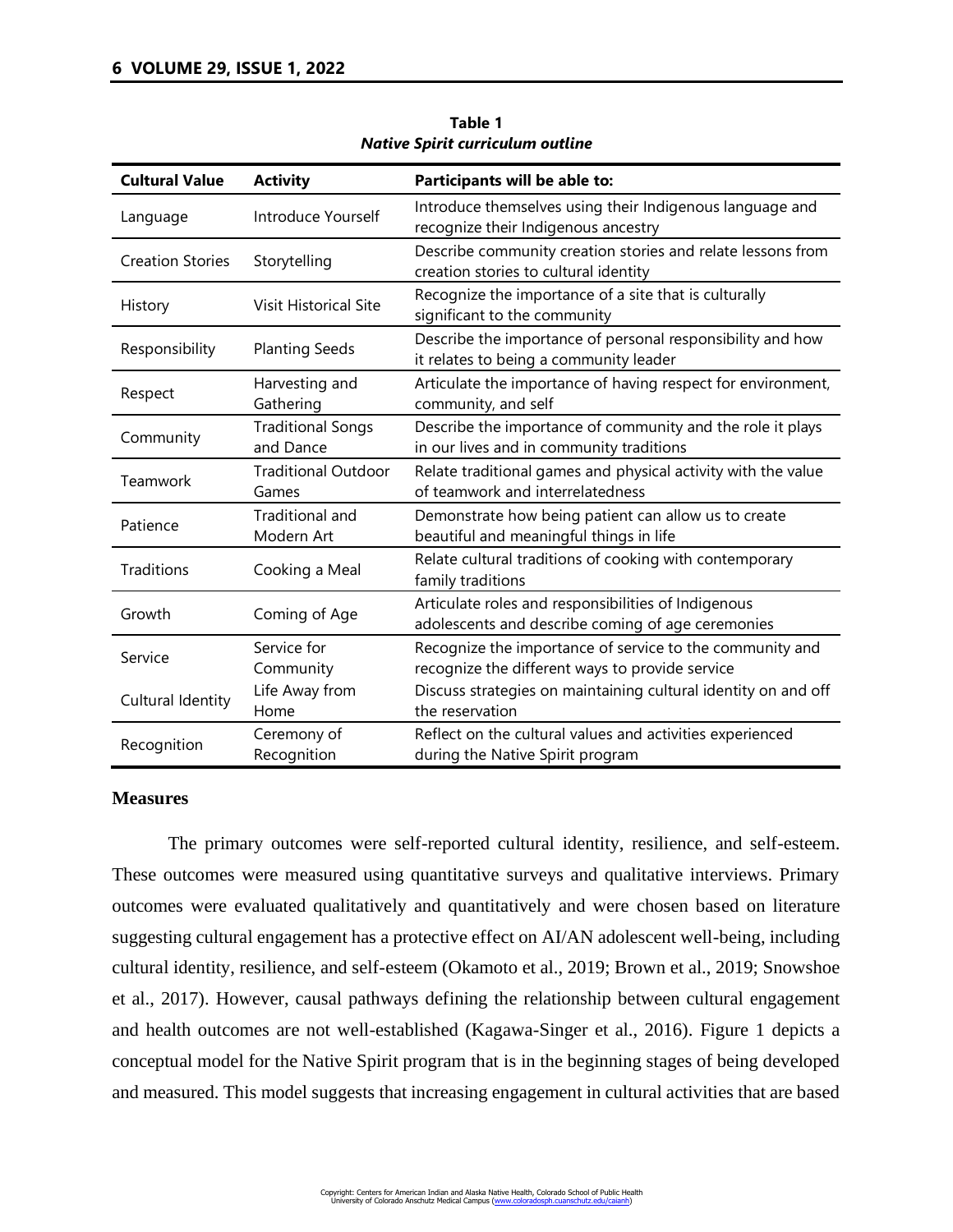| <b>Cultural Value</b>                       | <b>Activity</b>                       | Participants will be able to:                                                                               |  |  |
|---------------------------------------------|---------------------------------------|-------------------------------------------------------------------------------------------------------------|--|--|
| Language                                    | Introduce Yourself                    | Introduce themselves using their Indigenous language and<br>recognize their Indigenous ancestry             |  |  |
| <b>Creation Stories</b>                     | Storytelling                          | Describe community creation stories and relate lessons from<br>creation stories to cultural identity        |  |  |
| History                                     | <b>Visit Historical Site</b>          | Recognize the importance of a site that is culturally<br>significant to the community                       |  |  |
| Responsibility                              | <b>Planting Seeds</b>                 | Describe the importance of personal responsibility and how<br>it relates to being a community leader        |  |  |
| Respect                                     | Harvesting and<br>Gathering           | Articulate the importance of having respect for environment,<br>community, and self                         |  |  |
| Community                                   | <b>Traditional Songs</b><br>and Dance | Describe the importance of community and the role it plays<br>in our lives and in community traditions      |  |  |
| Teamwork                                    | <b>Traditional Outdoor</b><br>Games   | Relate traditional games and physical activity with the value<br>of teamwork and interrelatedness           |  |  |
| Patience                                    | <b>Traditional and</b><br>Modern Art  | Demonstrate how being patient can allow us to create<br>beautiful and meaningful things in life             |  |  |
| Traditions                                  | Cooking a Meal                        | Relate cultural traditions of cooking with contemporary<br>family traditions                                |  |  |
| Growth                                      | Coming of Age                         | Articulate roles and responsibilities of Indigenous<br>adolescents and describe coming of age ceremonies    |  |  |
| Service                                     | Service for<br>Community              | Recognize the importance of service to the community and<br>recognize the different ways to provide service |  |  |
| Life Away from<br>Cultural Identity<br>Home |                                       | Discuss strategies on maintaining cultural identity on and off<br>the reservation                           |  |  |
| Recognition                                 | Ceremony of<br>Recognition            | Reflect on the cultural values and activities experienced<br>during the Native Spirit program               |  |  |

**Table 1** *Native Spirit curriculum outline*

## **Measures**

The primary outcomes were self-reported cultural identity, resilience, and self-esteem. These outcomes were measured using quantitative surveys and qualitative interviews. Primary outcomes were evaluated qualitatively and quantitatively and were chosen based on literature suggesting cultural engagement has a protective effect on AI/AN adolescent well-being, including cultural identity, resilience, and self-esteem (Okamoto et al., 2019; Brown et al., 2019; Snowshoe et al., 2017). However, causal pathways defining the relationship between cultural engagement and health outcomes are not well-established (Kagawa-Singer et al., 2016). Figure 1 depicts a conceptual model for the Native Spirit program that is in the beginning stages of being developed and measured. This model suggests that increasing engagement in cultural activities that are based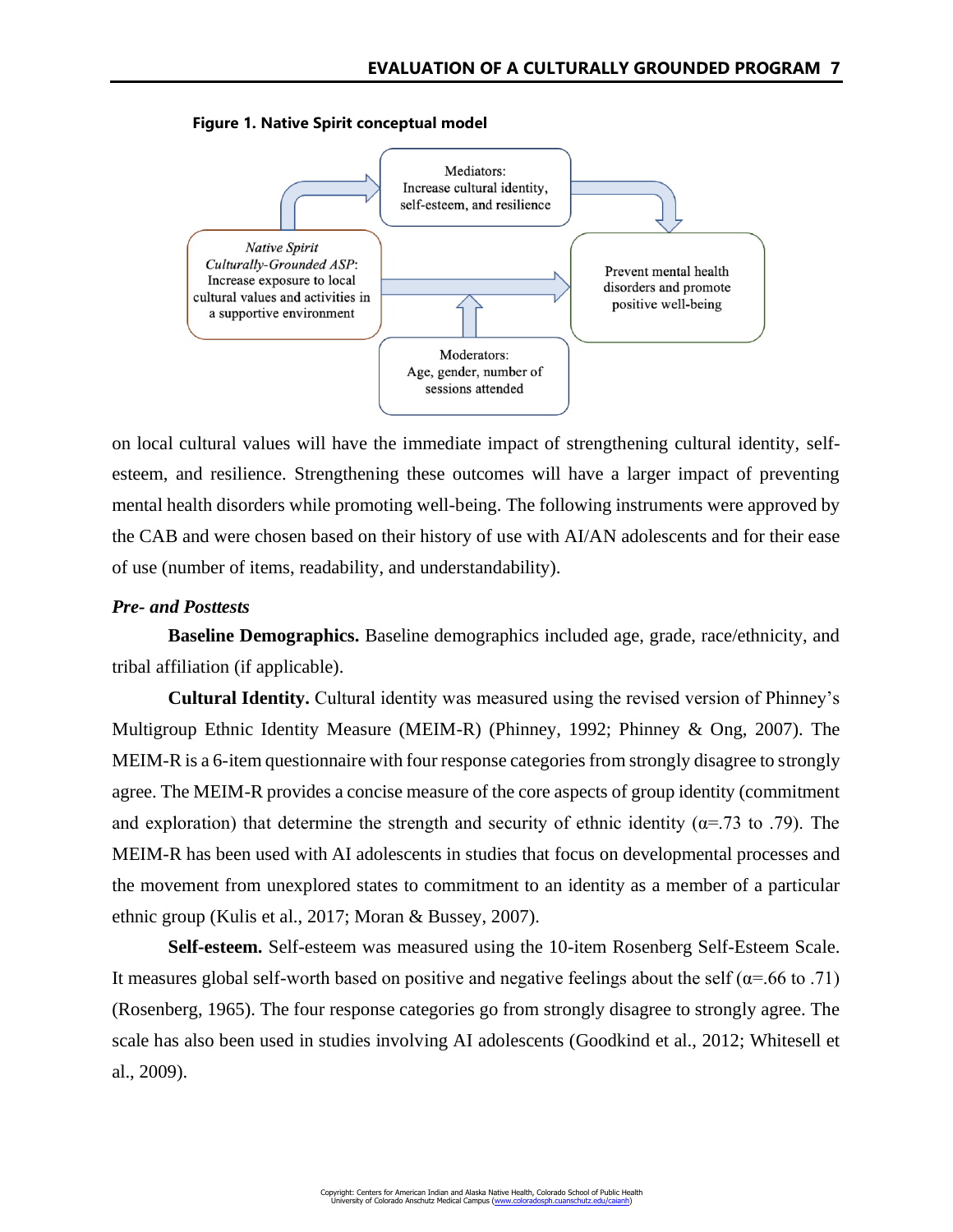**Figure 1. Native Spirit conceptual model**



on local cultural values will have the immediate impact of strengthening cultural identity, selfesteem, and resilience. Strengthening these outcomes will have a larger impact of preventing mental health disorders while promoting well-being. The following instruments were approved by the CAB and were chosen based on their history of use with AI/AN adolescents and for their ease of use (number of items, readability, and understandability).

## *Pre- and Posttests*

**Baseline Demographics.** Baseline demographics included age, grade, race/ethnicity, and tribal affiliation (if applicable).

**Cultural Identity.** Cultural identity was measured using the revised version of Phinney's Multigroup Ethnic Identity Measure (MEIM-R) (Phinney, 1992; Phinney & Ong, 2007). The MEIM-R is a 6-item questionnaire with four response categories from strongly disagree to strongly agree. The MEIM-R provides a concise measure of the core aspects of group identity (commitment and exploration) that determine the strength and security of ethnic identity ( $\alpha$ =.73 to .79). The MEIM-R has been used with AI adolescents in studies that focus on developmental processes and the movement from unexplored states to commitment to an identity as a member of a particular ethnic group (Kulis et al., 2017; Moran & Bussey, 2007).

**Self-esteem.** Self-esteem was measured using the 10-item Rosenberg Self-Esteem Scale. It measures global self-worth based on positive and negative feelings about the self ( $\alpha$ =.66 to .71) (Rosenberg, 1965). The four response categories go from strongly disagree to strongly agree. The scale has also been used in studies involving AI adolescents (Goodkind et al., 2012; Whitesell et al., 2009).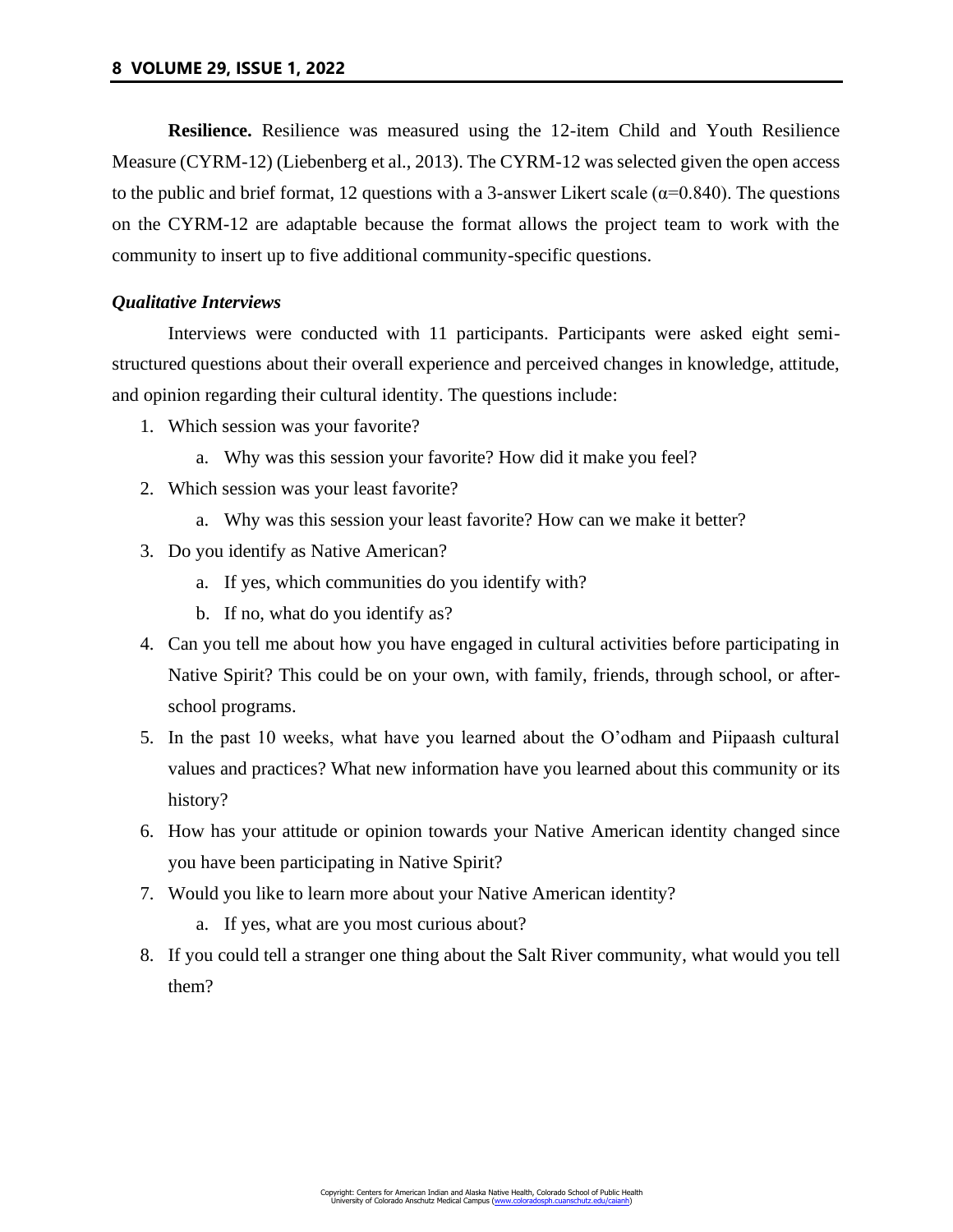**Resilience.** Resilience was measured using the 12-item Child and Youth Resilience Measure (CYRM-12) (Liebenberg et al., 2013). The CYRM-12 was selected given the open access to the public and brief format, 12 questions with a 3-answer Likert scale ( $\alpha$ =0.840). The questions on the CYRM-12 are adaptable because the format allows the project team to work with the community to insert up to five additional community-specific questions.

# *Qualitative Interviews*

Interviews were conducted with 11 participants. Participants were asked eight semistructured questions about their overall experience and perceived changes in knowledge, attitude, and opinion regarding their cultural identity. The questions include:

- 1. Which session was your favorite?
	- a. Why was this session your favorite? How did it make you feel?
- 2. Which session was your least favorite?
	- a. Why was this session your least favorite? How can we make it better?
- 3. Do you identify as Native American?
	- a. If yes, which communities do you identify with?
	- b. If no, what do you identify as?
- 4. Can you tell me about how you have engaged in cultural activities before participating in Native Spirit? This could be on your own, with family, friends, through school, or afterschool programs.
- 5. In the past 10 weeks, what have you learned about the O'odham and Piipaash cultural values and practices? What new information have you learned about this community or its history?
- 6. How has your attitude or opinion towards your Native American identity changed since you have been participating in Native Spirit?
- 7. Would you like to learn more about your Native American identity?
	- a. If yes, what are you most curious about?
- 8. If you could tell a stranger one thing about the Salt River community, what would you tell them?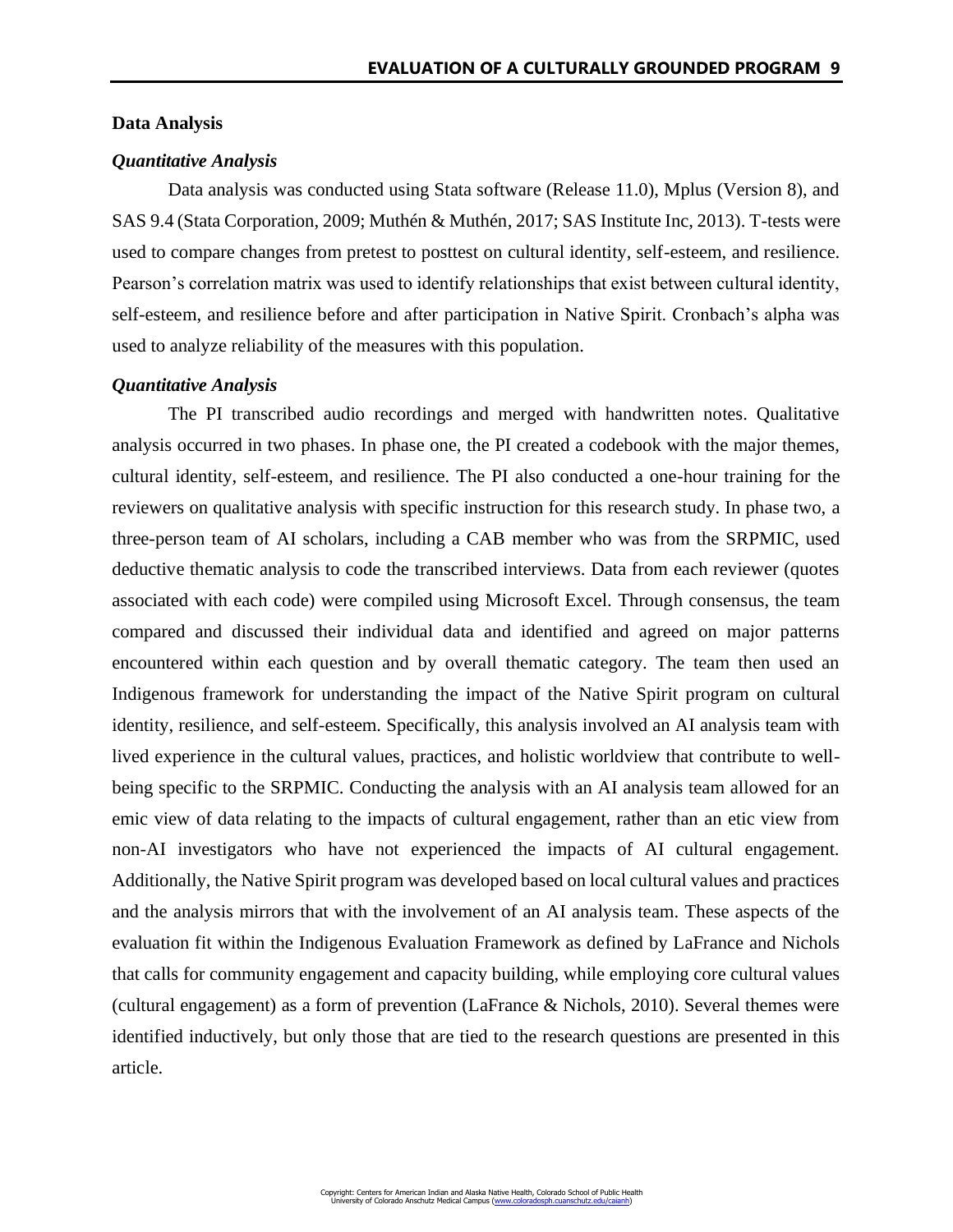## **Data Analysis**

## *Quantitative Analysis*

Data analysis was conducted using Stata software (Release 11.0), Mplus (Version 8), and SAS 9.4 (Stata Corporation, 2009; Muthén & Muthén, 2017; SAS Institute Inc, 2013). T-tests were used to compare changes from pretest to posttest on cultural identity, self-esteem, and resilience. Pearson's correlation matrix was used to identify relationships that exist between cultural identity, self-esteem, and resilience before and after participation in Native Spirit. Cronbach's alpha was used to analyze reliability of the measures with this population.

# *Quantitative Analysis*

The PI transcribed audio recordings and merged with handwritten notes. Qualitative analysis occurred in two phases. In phase one, the PI created a codebook with the major themes, cultural identity, self-esteem, and resilience. The PI also conducted a one-hour training for the reviewers on qualitative analysis with specific instruction for this research study. In phase two, a three-person team of AI scholars, including a CAB member who was from the SRPMIC, used deductive thematic analysis to code the transcribed interviews. Data from each reviewer (quotes associated with each code) were compiled using Microsoft Excel. Through consensus, the team compared and discussed their individual data and identified and agreed on major patterns encountered within each question and by overall thematic category. The team then used an Indigenous framework for understanding the impact of the Native Spirit program on cultural identity, resilience, and self-esteem. Specifically, this analysis involved an AI analysis team with lived experience in the cultural values, practices, and holistic worldview that contribute to wellbeing specific to the SRPMIC. Conducting the analysis with an AI analysis team allowed for an emic view of data relating to the impacts of cultural engagement, rather than an etic view from non-AI investigators who have not experienced the impacts of AI cultural engagement. Additionally, the Native Spirit program was developed based on local cultural values and practices and the analysis mirrors that with the involvement of an AI analysis team. These aspects of the evaluation fit within the Indigenous Evaluation Framework as defined by LaFrance and Nichols that calls for community engagement and capacity building, while employing core cultural values (cultural engagement) as a form of prevention (LaFrance & Nichols, 2010). Several themes were identified inductively, but only those that are tied to the research questions are presented in this article.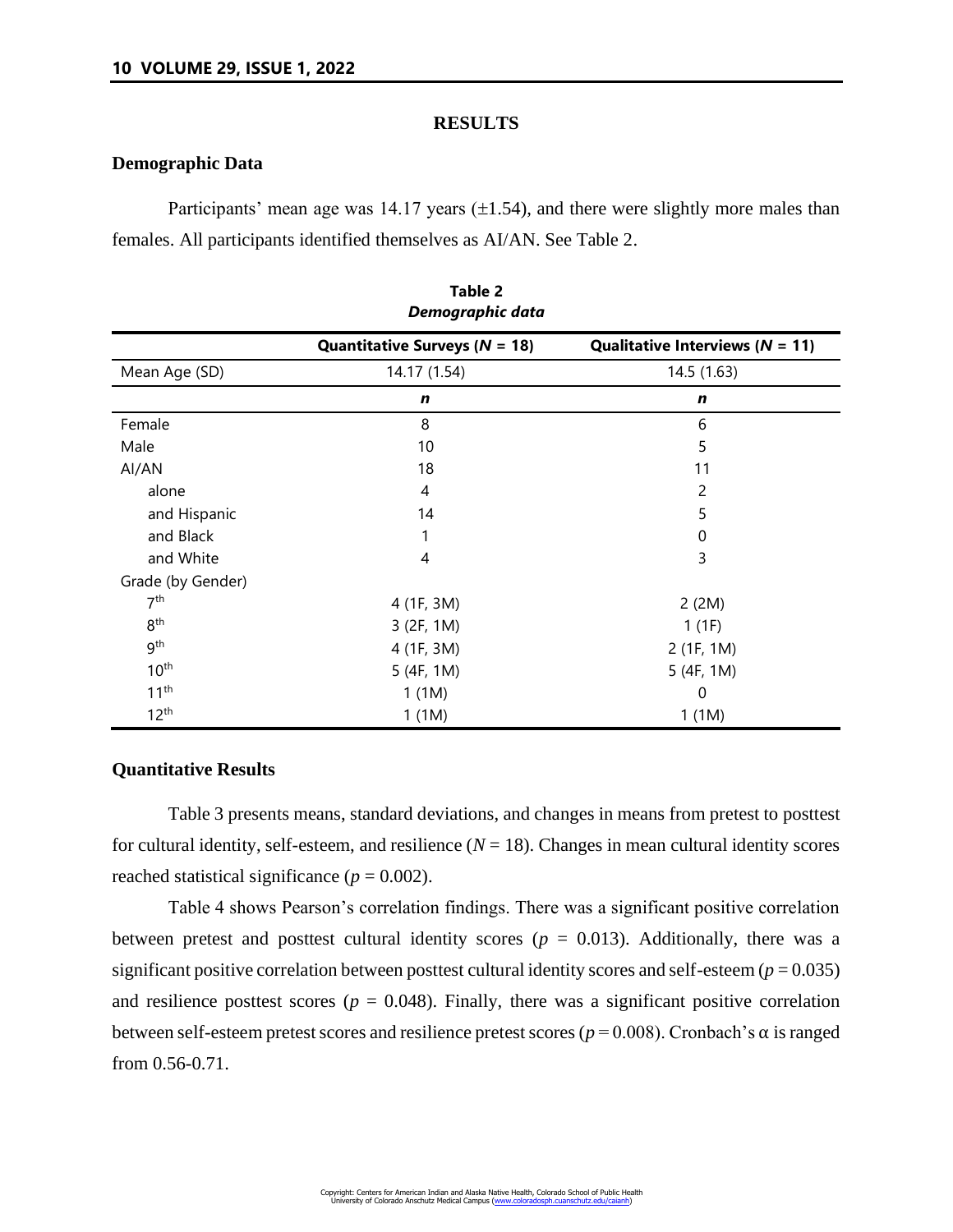## **RESULTS**

## **Demographic Data**

Participants' mean age was 14.17 years  $(\pm 1.54)$ , and there were slightly more males than females. All participants identified themselves as AI/AN. See Table 2.

| LANIC F<br>Demographic data |                                                   |                                                    |  |  |  |  |
|-----------------------------|---------------------------------------------------|----------------------------------------------------|--|--|--|--|
|                             | <b>Quantitative Surveys (<math>N = 18</math>)</b> | Qualitative Interviews ( $N = 11$ )<br>14.5 (1.63) |  |  |  |  |
| Mean Age (SD)               | 14.17 (1.54)                                      |                                                    |  |  |  |  |
|                             | $\mathbf n$                                       | $\mathbf n$                                        |  |  |  |  |
| Female                      | 8                                                 | 6                                                  |  |  |  |  |
| Male                        | 10                                                | 5                                                  |  |  |  |  |
| Al/AN                       | 18                                                | 11                                                 |  |  |  |  |
| alone                       | 4                                                 | 2                                                  |  |  |  |  |
| and Hispanic                | 14                                                | 5                                                  |  |  |  |  |
| and Black                   |                                                   | 0                                                  |  |  |  |  |
| and White                   | 4                                                 | 3                                                  |  |  |  |  |
| Grade (by Gender)           |                                                   |                                                    |  |  |  |  |
| 7 <sup>th</sup>             | 4 (1F, 3M)                                        | 2(2M)                                              |  |  |  |  |
| 8 <sup>th</sup>             | 3 (2F, 1M)                                        | 1(1F)                                              |  |  |  |  |
| 9 <sup>th</sup>             | 4 (1F, 3M)                                        | 2 (1F, 1M)                                         |  |  |  |  |
| 10 <sup>th</sup>            | 5(4F, 1M)                                         | 5 (4F, 1M)                                         |  |  |  |  |
| 11 <sup>th</sup>            | 1(1M)                                             | 0                                                  |  |  |  |  |
| $12^{th}$                   | 1(1M)                                             | 1(1M)                                              |  |  |  |  |

# **Table 2**

# **Quantitative Results**

Table 3 presents means, standard deviations, and changes in means from pretest to posttest for cultural identity, self-esteem, and resilience  $(N = 18)$ . Changes in mean cultural identity scores reached statistical significance  $(p = 0.002)$ .

Table 4 shows Pearson's correlation findings. There was a significant positive correlation between pretest and posttest cultural identity scores ( $p = 0.013$ ). Additionally, there was a significant positive correlation between posttest cultural identity scores and self-esteem  $(p = 0.035)$ and resilience posttest scores ( $p = 0.048$ ). Finally, there was a significant positive correlation between self-esteem pretest scores and resilience pretest scores ( $p = 0.008$ ). Cronbach's  $\alpha$  is ranged from 0.56-0.71.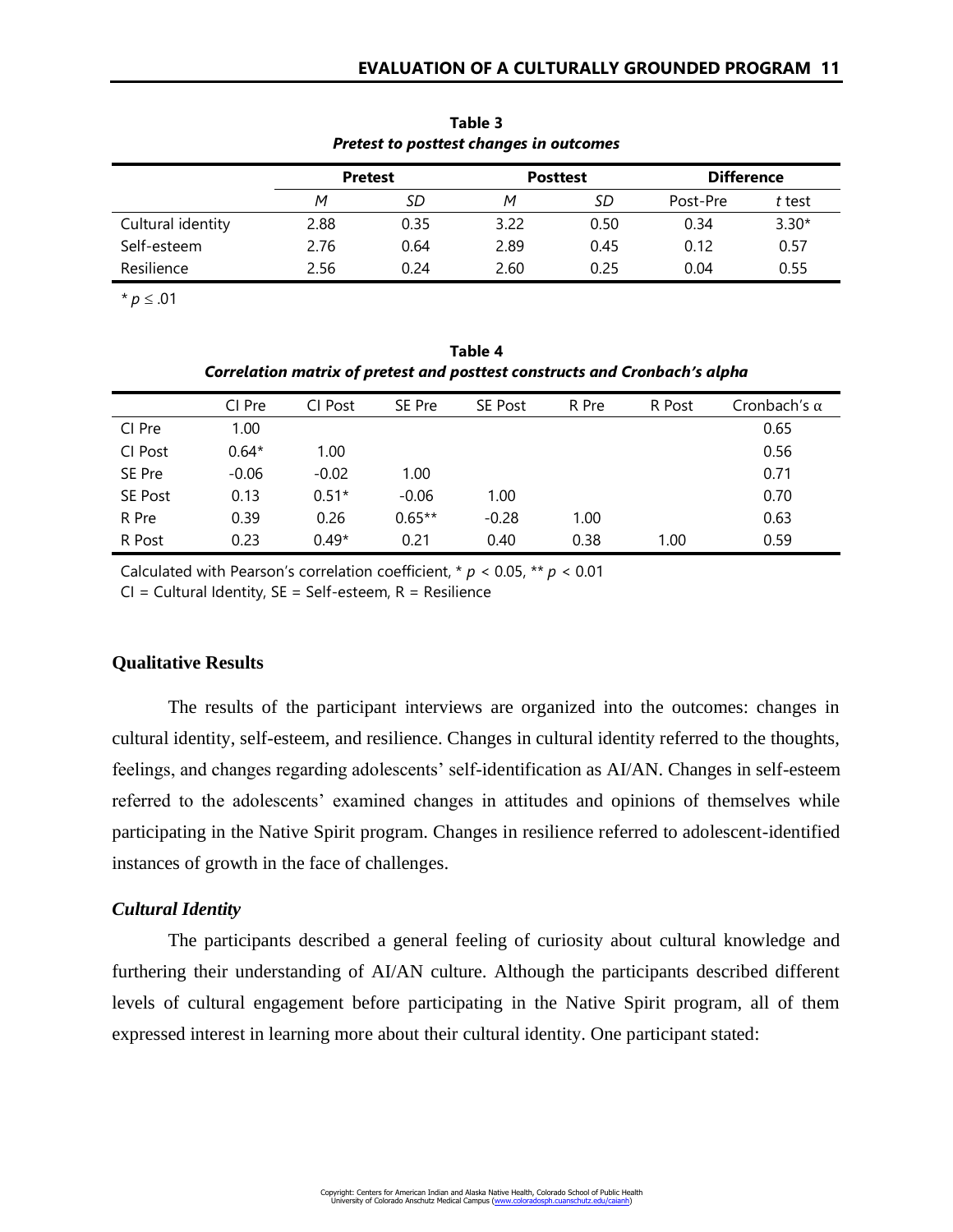| Tretest to positest changes ar outcomes |                |      |                 |      |                   |         |
|-----------------------------------------|----------------|------|-----------------|------|-------------------|---------|
|                                         | <b>Pretest</b> |      | <b>Posttest</b> |      | <b>Difference</b> |         |
|                                         | M              | SD   | М               | SD   | Post-Pre          | t test  |
| Cultural identity                       | 2.88           | 0.35 | 3.22            | 0.50 | 0.34              | $3.30*$ |
| Self-esteem                             | 2.76           | 0.64 | 2.89            | 0.45 | 0.12              | 0.57    |
| Resilience                              | 2.56           | 0.24 | 2.60            | 0.25 | 0.04              | 0.55    |

**Table 3** *Pretest to posttest changes in outcomes*

 $$ 

**Table 4** *Correlation matrix of pretest and posttest constructs and Cronbach's alpha*

|                | CI Pre  | CI Post | SE Pre   | <b>SE Post</b> | R Pre | R Post | Cronbach's $\alpha$ |
|----------------|---------|---------|----------|----------------|-------|--------|---------------------|
| CI Pre         | 1.00    |         |          |                |       |        | 0.65                |
| CI Post        | $0.64*$ | 1.00    |          |                |       |        | 0.56                |
| SE Pre         | $-0.06$ | $-0.02$ | 1.00     |                |       |        | 0.71                |
| <b>SE Post</b> | 0.13    | $0.51*$ | $-0.06$  | 1.00           |       |        | 0.70                |
| R Pre          | 0.39    | 0.26    | $0.65**$ | $-0.28$        | 1.00  |        | 0.63                |
| R Post         | 0.23    | $0.49*$ | 0.21     | 0.40           | 0.38  | 1.00   | 0.59                |

Calculated with Pearson's correlation coefficient, \* *p* < 0.05, \*\* *p* < 0.01

 $CI = Cultural Identity, SE = Self-esteem, R = Resilience$ 

# **Qualitative Results**

The results of the participant interviews are organized into the outcomes: changes in cultural identity, self-esteem, and resilience. Changes in cultural identity referred to the thoughts, feelings, and changes regarding adolescents' self-identification as AI/AN. Changes in self-esteem referred to the adolescents' examined changes in attitudes and opinions of themselves while participating in the Native Spirit program. Changes in resilience referred to adolescent-identified instances of growth in the face of challenges.

# *Cultural Identity*

The participants described a general feeling of curiosity about cultural knowledge and furthering their understanding of AI/AN culture. Although the participants described different levels of cultural engagement before participating in the Native Spirit program, all of them expressed interest in learning more about their cultural identity. One participant stated: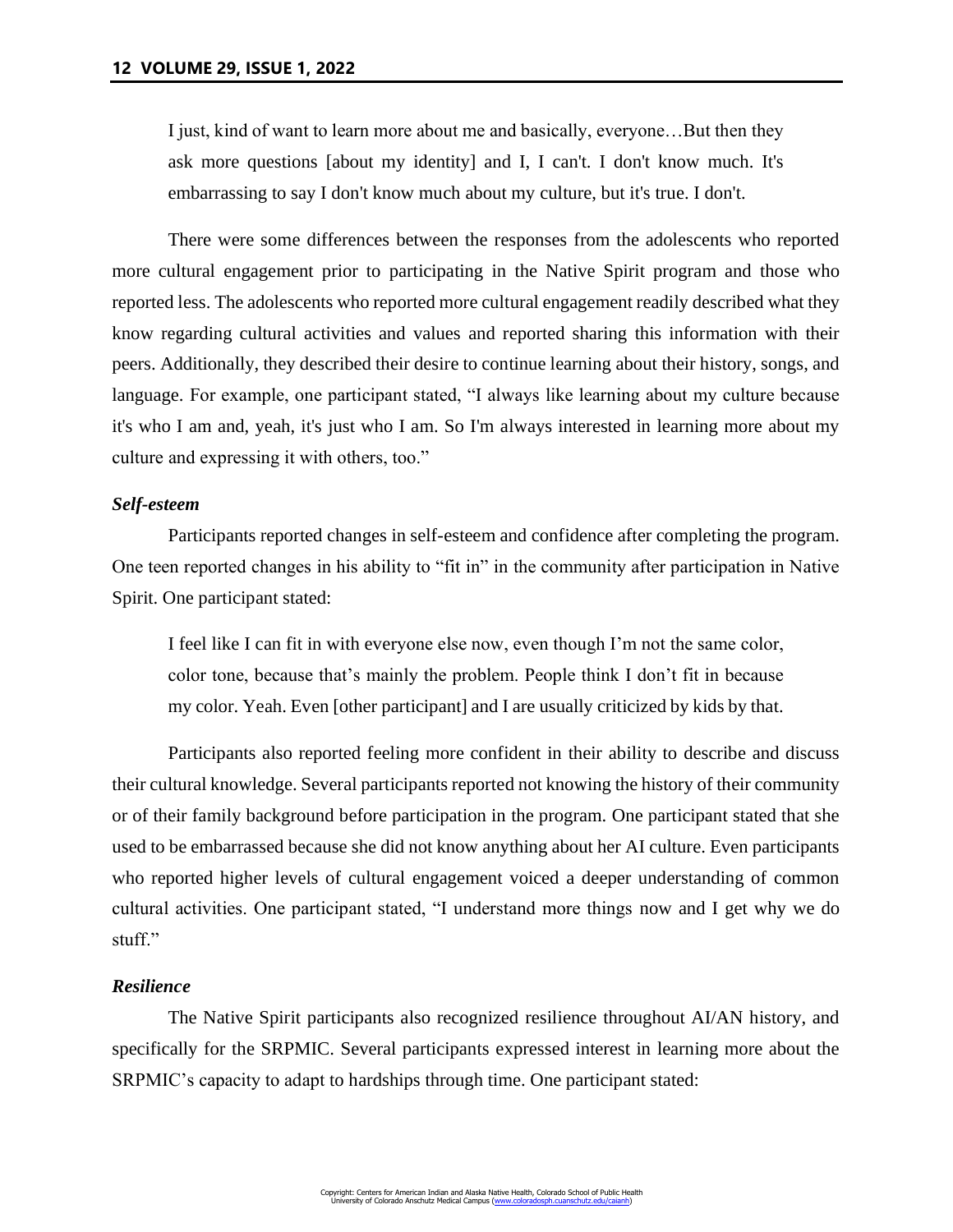I just, kind of want to learn more about me and basically, everyone…But then they ask more questions [about my identity] and I, I can't. I don't know much. It's embarrassing to say I don't know much about my culture, but it's true. I don't.

There were some differences between the responses from the adolescents who reported more cultural engagement prior to participating in the Native Spirit program and those who reported less. The adolescents who reported more cultural engagement readily described what they know regarding cultural activities and values and reported sharing this information with their peers. Additionally, they described their desire to continue learning about their history, songs, and language. For example, one participant stated, "I always like learning about my culture because it's who I am and, yeah, it's just who I am. So I'm always interested in learning more about my culture and expressing it with others, too."

## *Self-esteem*

Participants reported changes in self-esteem and confidence after completing the program. One teen reported changes in his ability to "fit in" in the community after participation in Native Spirit. One participant stated:

I feel like I can fit in with everyone else now, even though I'm not the same color, color tone, because that's mainly the problem. People think I don't fit in because my color. Yeah. Even [other participant] and I are usually criticized by kids by that.

Participants also reported feeling more confident in their ability to describe and discuss their cultural knowledge. Several participants reported not knowing the history of their community or of their family background before participation in the program. One participant stated that she used to be embarrassed because she did not know anything about her AI culture. Even participants who reported higher levels of cultural engagement voiced a deeper understanding of common cultural activities. One participant stated, "I understand more things now and I get why we do stuff."

# *Resilience*

The Native Spirit participants also recognized resilience throughout AI/AN history, and specifically for the SRPMIC. Several participants expressed interest in learning more about the SRPMIC's capacity to adapt to hardships through time. One participant stated: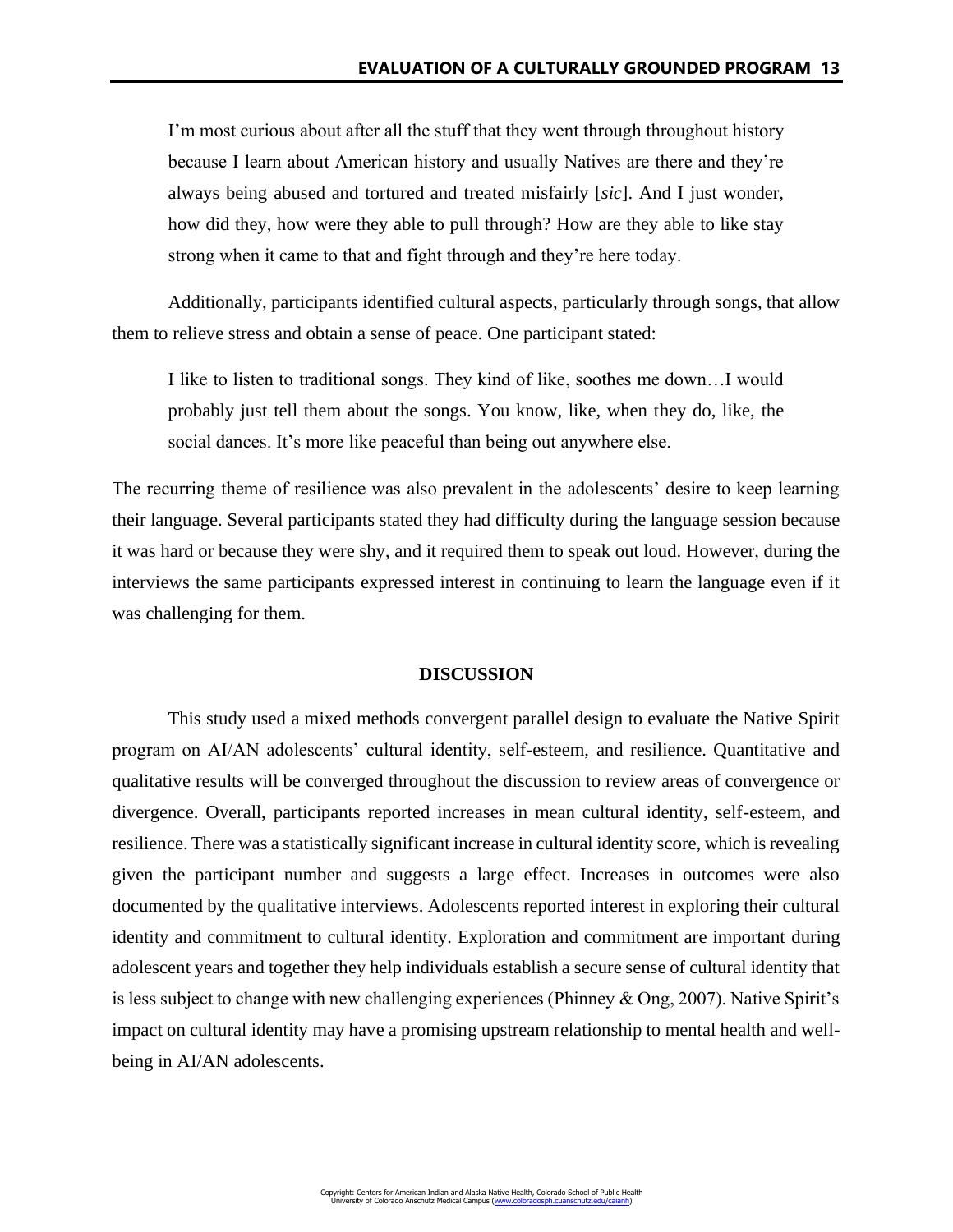I'm most curious about after all the stuff that they went through throughout history because I learn about American history and usually Natives are there and they're always being abused and tortured and treated misfairly [*sic*]. And I just wonder, how did they, how were they able to pull through? How are they able to like stay strong when it came to that and fight through and they're here today.

Additionally, participants identified cultural aspects, particularly through songs, that allow them to relieve stress and obtain a sense of peace. One participant stated:

I like to listen to traditional songs. They kind of like, soothes me down…I would probably just tell them about the songs. You know, like, when they do, like, the social dances. It's more like peaceful than being out anywhere else.

The recurring theme of resilience was also prevalent in the adolescents' desire to keep learning their language. Several participants stated they had difficulty during the language session because it was hard or because they were shy, and it required them to speak out loud. However, during the interviews the same participants expressed interest in continuing to learn the language even if it was challenging for them.

#### **DISCUSSION**

This study used a mixed methods convergent parallel design to evaluate the Native Spirit program on AI/AN adolescents' cultural identity, self-esteem, and resilience. Quantitative and qualitative results will be converged throughout the discussion to review areas of convergence or divergence. Overall, participants reported increases in mean cultural identity, self-esteem, and resilience. There was a statistically significant increase in cultural identity score, which is revealing given the participant number and suggests a large effect. Increases in outcomes were also documented by the qualitative interviews. Adolescents reported interest in exploring their cultural identity and commitment to cultural identity. Exploration and commitment are important during adolescent years and together they help individuals establish a secure sense of cultural identity that is less subject to change with new challenging experiences (Phinney & Ong, 2007). Native Spirit's impact on cultural identity may have a promising upstream relationship to mental health and wellbeing in AI/AN adolescents.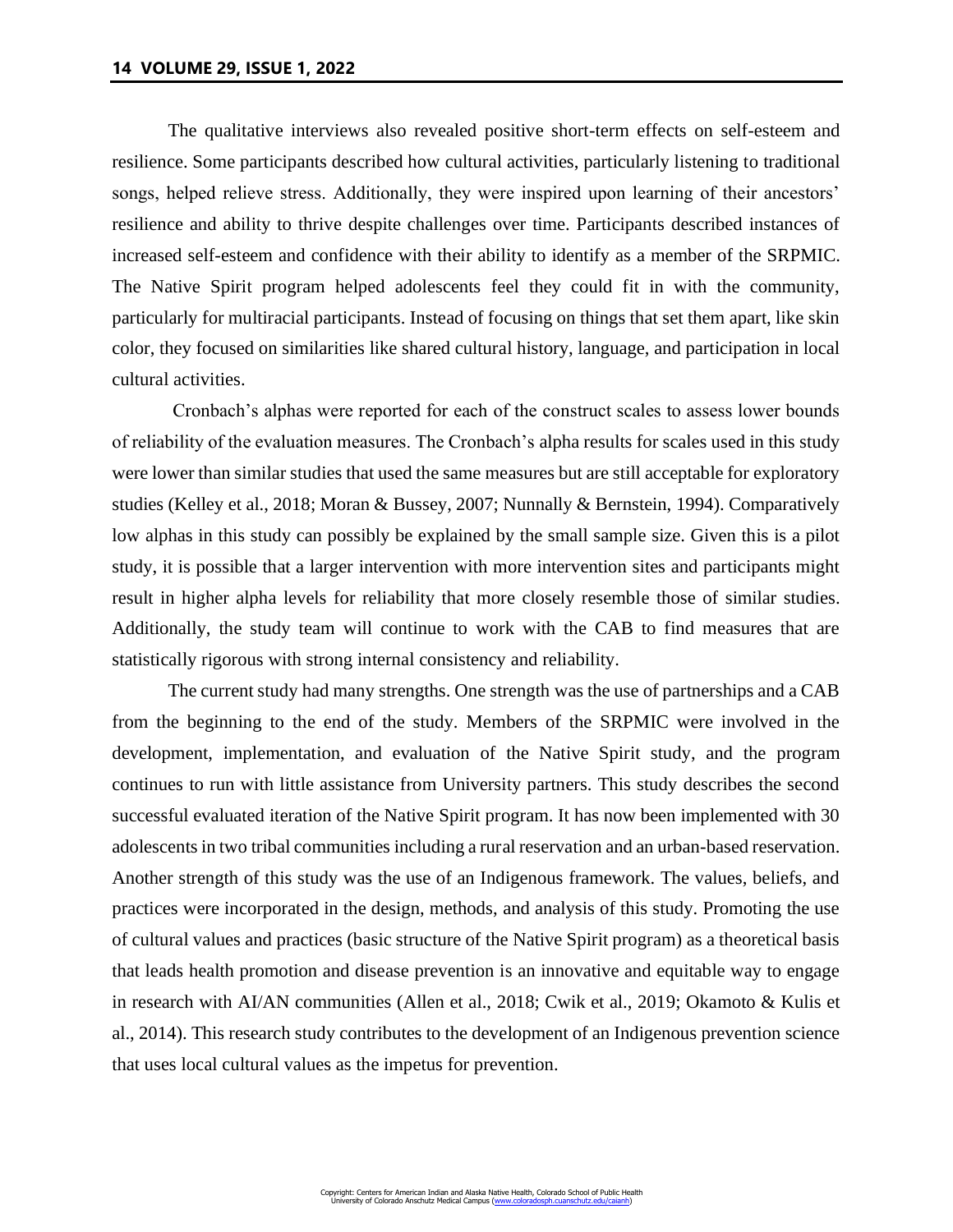The qualitative interviews also revealed positive short-term effects on self-esteem and resilience. Some participants described how cultural activities, particularly listening to traditional songs, helped relieve stress. Additionally, they were inspired upon learning of their ancestors' resilience and ability to thrive despite challenges over time. Participants described instances of increased self-esteem and confidence with their ability to identify as a member of the SRPMIC. The Native Spirit program helped adolescents feel they could fit in with the community, particularly for multiracial participants. Instead of focusing on things that set them apart, like skin color, they focused on similarities like shared cultural history, language, and participation in local cultural activities.

Cronbach's alphas were reported for each of the construct scales to assess lower bounds of reliability of the evaluation measures. The Cronbach's alpha results for scales used in this study were lower than similar studies that used the same measures but are still acceptable for exploratory studies (Kelley et al., 2018; Moran & Bussey, 2007; Nunnally & Bernstein, 1994). Comparatively low alphas in this study can possibly be explained by the small sample size. Given this is a pilot study, it is possible that a larger intervention with more intervention sites and participants might result in higher alpha levels for reliability that more closely resemble those of similar studies. Additionally, the study team will continue to work with the CAB to find measures that are statistically rigorous with strong internal consistency and reliability.

The current study had many strengths. One strength was the use of partnerships and a CAB from the beginning to the end of the study. Members of the SRPMIC were involved in the development, implementation, and evaluation of the Native Spirit study, and the program continues to run with little assistance from University partners. This study describes the second successful evaluated iteration of the Native Spirit program. It has now been implemented with 30 adolescents in two tribal communities including a rural reservation and an urban-based reservation. Another strength of this study was the use of an Indigenous framework. The values, beliefs, and practices were incorporated in the design, methods, and analysis of this study. Promoting the use of cultural values and practices (basic structure of the Native Spirit program) as a theoretical basis that leads health promotion and disease prevention is an innovative and equitable way to engage in research with AI/AN communities (Allen et al., 2018; Cwik et al., 2019; Okamoto & Kulis et al., 2014). This research study contributes to the development of an Indigenous prevention science that uses local cultural values as the impetus for prevention.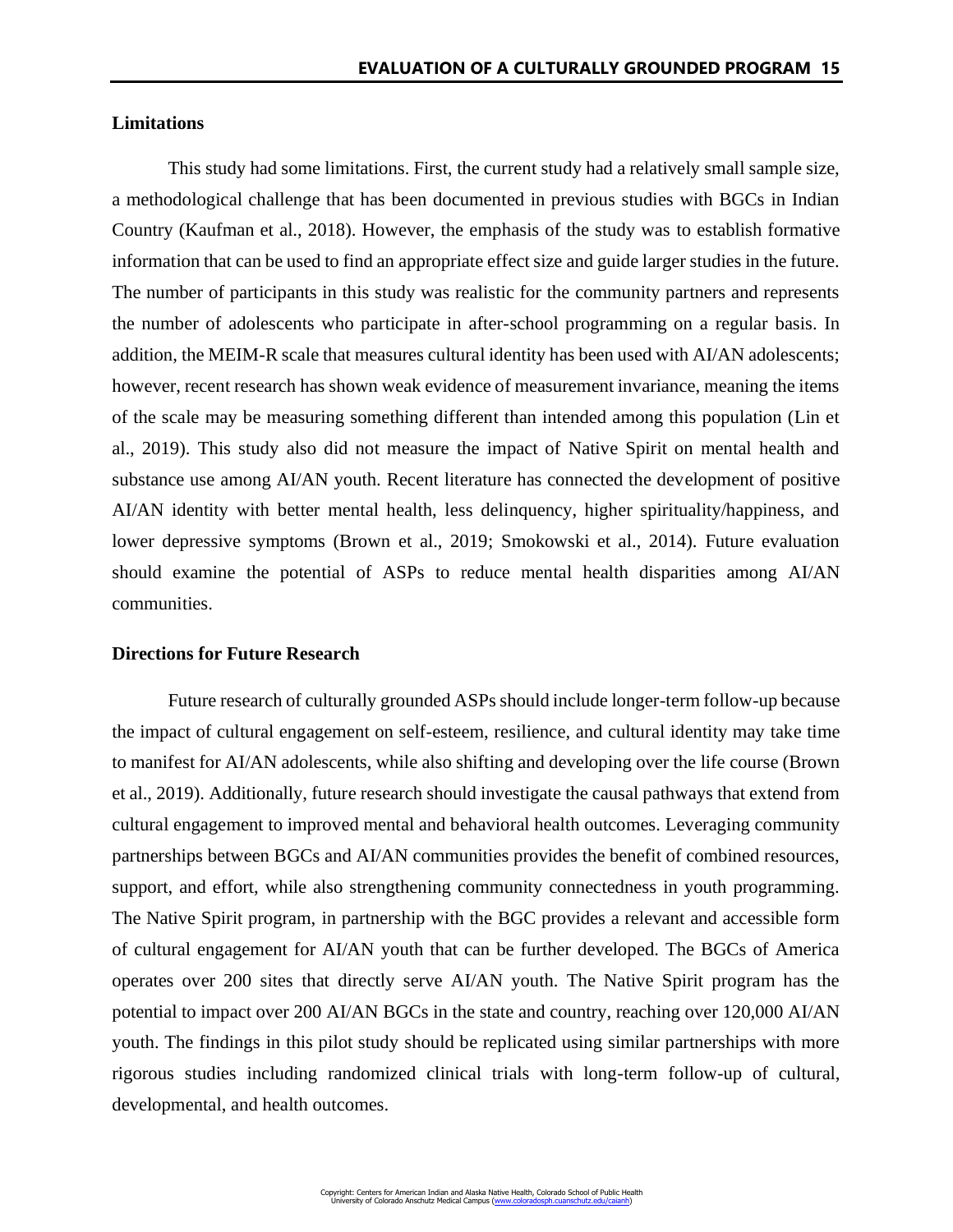# **Limitations**

This study had some limitations. First, the current study had a relatively small sample size, a methodological challenge that has been documented in previous studies with BGCs in Indian Country (Kaufman et al., 2018). However, the emphasis of the study was to establish formative information that can be used to find an appropriate effect size and guide larger studies in the future. The number of participants in this study was realistic for the community partners and represents the number of adolescents who participate in after-school programming on a regular basis. In addition, the MEIM-R scale that measures cultural identity has been used with AI/AN adolescents; however, recent research has shown weak evidence of measurement invariance, meaning the items of the scale may be measuring something different than intended among this population (Lin et al., 2019). This study also did not measure the impact of Native Spirit on mental health and substance use among AI/AN youth. Recent literature has connected the development of positive AI/AN identity with better mental health, less delinquency, higher spirituality/happiness, and lower depressive symptoms (Brown et al., 2019; Smokowski et al., 2014). Future evaluation should examine the potential of ASPs to reduce mental health disparities among AI/AN communities.

## **Directions for Future Research**

Future research of culturally grounded ASPs should include longer-term follow-up because the impact of cultural engagement on self-esteem, resilience, and cultural identity may take time to manifest for AI/AN adolescents, while also shifting and developing over the life course (Brown et al., 2019). Additionally, future research should investigate the causal pathways that extend from cultural engagement to improved mental and behavioral health outcomes. Leveraging community partnerships between BGCs and AI/AN communities provides the benefit of combined resources, support, and effort, while also strengthening community connectedness in youth programming. The Native Spirit program, in partnership with the BGC provides a relevant and accessible form of cultural engagement for AI/AN youth that can be further developed. The BGCs of America operates over 200 sites that directly serve AI/AN youth. The Native Spirit program has the potential to impact over 200 AI/AN BGCs in the state and country, reaching over 120,000 AI/AN youth. The findings in this pilot study should be replicated using similar partnerships with more rigorous studies including randomized clinical trials with long-term follow-up of cultural, developmental, and health outcomes.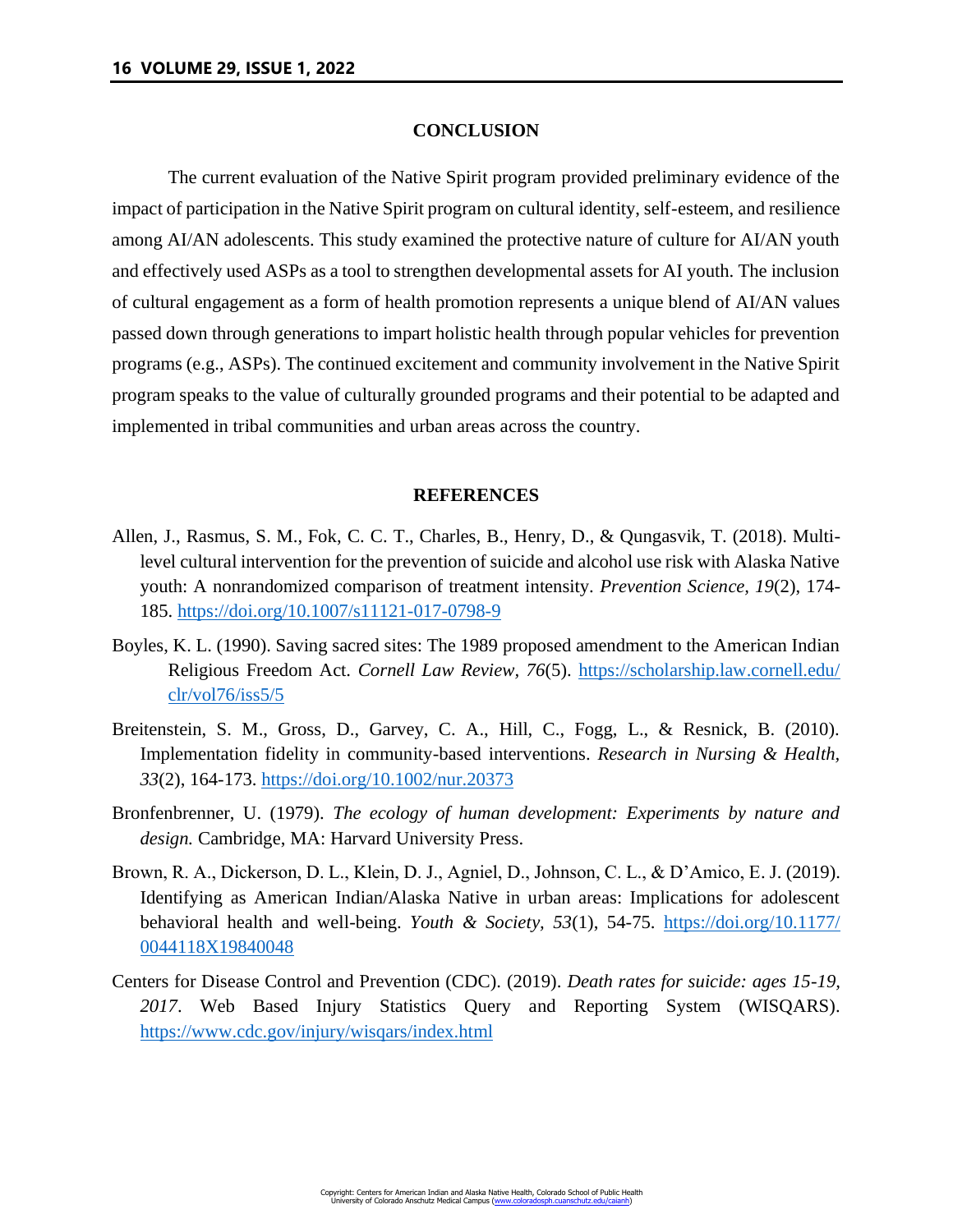## **CONCLUSION**

The current evaluation of the Native Spirit program provided preliminary evidence of the impact of participation in the Native Spirit program on cultural identity, self-esteem, and resilience among AI/AN adolescents. This study examined the protective nature of culture for AI/AN youth and effectively used ASPs as a tool to strengthen developmental assets for AI youth. The inclusion of cultural engagement as a form of health promotion represents a unique blend of AI/AN values passed down through generations to impart holistic health through popular vehicles for prevention programs (e.g., ASPs). The continued excitement and community involvement in the Native Spirit program speaks to the value of culturally grounded programs and their potential to be adapted and implemented in tribal communities and urban areas across the country.

#### **REFERENCES**

- Allen, J., Rasmus, S. M., Fok, C. C. T., Charles, B., Henry, D., & Qungasvik, T. (2018). Multilevel cultural intervention for the prevention of suicide and alcohol use risk with Alaska Native youth: A nonrandomized comparison of treatment intensity. *Prevention Science, 19*(2), 174- 185.<https://doi.org/10.1007/s11121-017-0798-9>
- Boyles, K. L. (1990). Saving sacred sites: The 1989 proposed amendment to the American Indian Religious Freedom Act. *Cornell Law Review, 76*(5). [https://scholarship.law.cornell.edu/](https://scholarship.law.cornell.edu/clr/vol76/iss5/5) [clr/vol76/iss5/5](https://scholarship.law.cornell.edu/clr/vol76/iss5/5)
- Breitenstein, S. M., Gross, D., Garvey, C. A., Hill, C., Fogg, L., & Resnick, B. (2010). Implementation fidelity in community-based interventions. *Research in Nursing & Health, 33*(2), 164-173.<https://doi.org/10.1002/nur.20373>
- Bronfenbrenner, U. (1979). *The ecology of human development: Experiments by nature and design.* Cambridge, MA: Harvard University Press.
- Brown, R. A., Dickerson, D. L., Klein, D. J., Agniel, D., Johnson, C. L., & D'Amico, E. J. (2019). Identifying as American Indian/Alaska Native in urban areas: Implications for adolescent behavioral health and well-being. *Youth & Society, 53*(1), 54-75. [https://doi.org/10.1177/](https://doi.org/10.1177/0044118X19840048) [0044118X19840048](https://doi.org/10.1177/0044118X19840048)
- Centers for Disease Control and Prevention (CDC). (2019). *Death rates for suicide: ages 15-19, 2017*. Web Based Injury Statistics Query and Reporting System (WISQARS). <https://www.cdc.gov/injury/wisqars/index.html>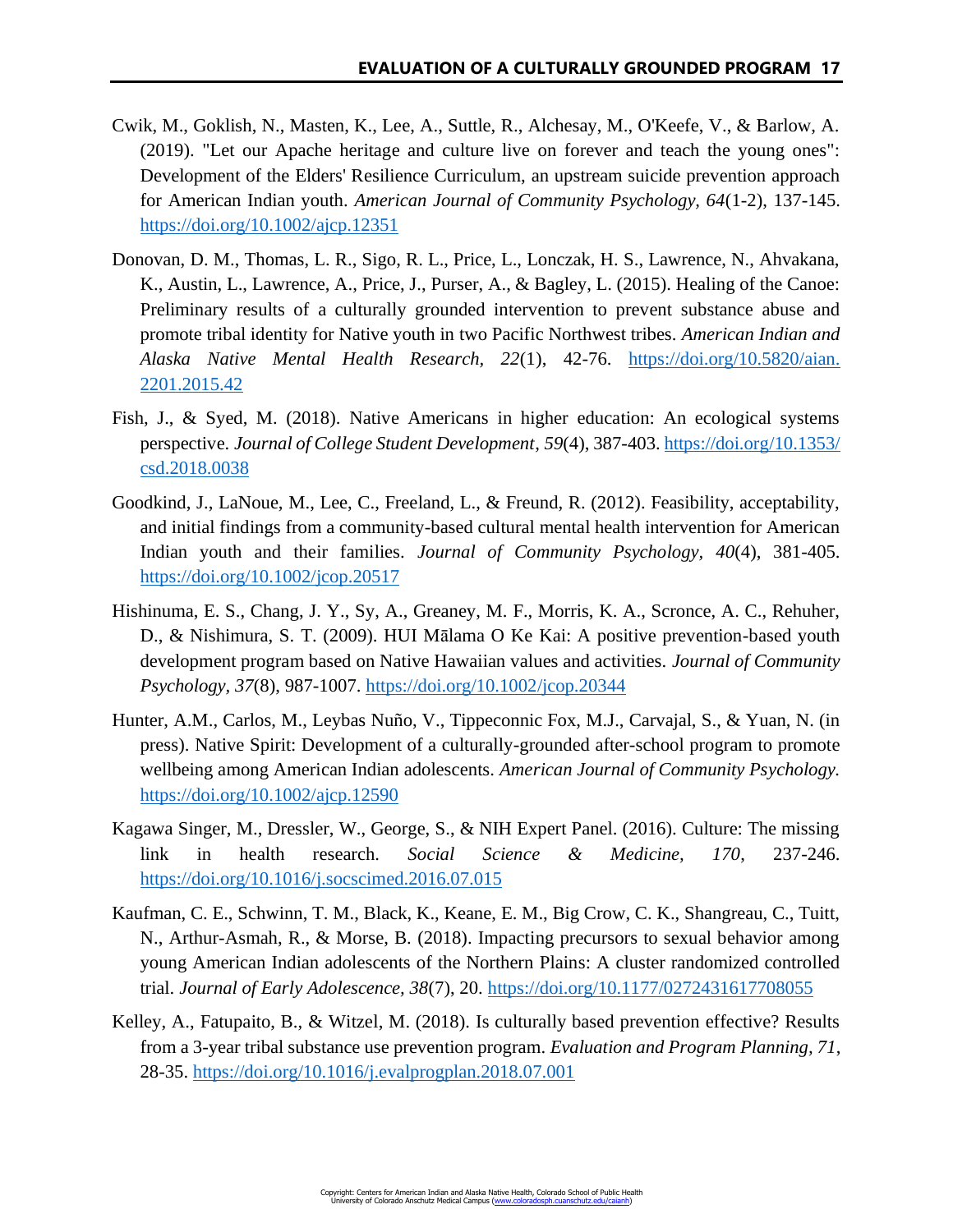- Cwik, M., Goklish, N., Masten, K., Lee, A., Suttle, R., Alchesay, M., O'Keefe, V., & Barlow, A. (2019). "Let our Apache heritage and culture live on forever and teach the young ones": Development of the Elders' Resilience Curriculum, an upstream suicide prevention approach for American Indian youth. *American Journal of Community Psychology, 64*(1-2), 137-145. <https://doi.org/10.1002/ajcp.12351>
- Donovan, D. M., Thomas, L. R., Sigo, R. L., Price, L., Lonczak, H. S., Lawrence, N., Ahvakana, K., Austin, L., Lawrence, A., Price, J., Purser, A., & Bagley, L. (2015). Healing of the Canoe: Preliminary results of a culturally grounded intervention to prevent substance abuse and promote tribal identity for Native youth in two Pacific Northwest tribes. *American Indian and Alaska Native Mental Health Research, 22*(1), 42-76. [https://doi.org/10.5820/aian.](https://doi.org/10.5820/aian.2201.2015.42) [2201.2015.42](https://doi.org/10.5820/aian.2201.2015.42)
- Fish, J., & Syed, M. (2018). Native Americans in higher education: An ecological systems perspective. *Journal of College Student Development*, *59*(4), 387-403[. https://doi.org/10.1353/](https://doi.org/10.1353/csd.2018.0038) [csd.2018.0038](https://doi.org/10.1353/csd.2018.0038)
- Goodkind, J., LaNoue, M., Lee, C., Freeland, L., & Freund, R. (2012). Feasibility, acceptability, and initial findings from a community-based cultural mental health intervention for American Indian youth and their families. *Journal of Community Psychology, 40*(4), 381-405. <https://doi.org/10.1002/jcop.20517>
- Hishinuma, E. S., Chang, J. Y., Sy, A., Greaney, M. F., Morris, K. A., Scronce, A. C., Rehuher, D., & Nishimura, S. T. (2009). HUI Mālama O Ke Kai: A positive prevention-based youth development program based on Native Hawaiian values and activities. *Journal of Community Psychology, 37*(8), 987-1007.<https://doi.org/10.1002/jcop.20344>
- Hunter, A.M., Carlos, M., Leybas Nuño, V., Tippeconnic Fox, M.J., Carvajal, S., & Yuan, N. (in press). Native Spirit: Development of a culturally-grounded after-school program to promote wellbeing among American Indian adolescents. *American Journal of Community Psychology.* <https://doi.org/10.1002/ajcp.12590>
- Kagawa Singer, M., Dressler, W., George, S., & NIH Expert Panel. (2016). Culture: The missing link in health research. *Social Science & Medicine, 170*, 237-246. <https://doi.org/10.1016/j.socscimed.2016.07.015>
- Kaufman, C. E., Schwinn, T. M., Black, K., Keane, E. M., Big Crow, C. K., Shangreau, C., Tuitt, N., Arthur-Asmah, R., & Morse, B. (2018). Impacting precursors to sexual behavior among young American Indian adolescents of the Northern Plains: A cluster randomized controlled trial. *Journal of Early Adolescence, 38*(7), 20.<https://doi.org/10.1177/0272431617708055>
- Kelley, A., Fatupaito, B., & Witzel, M. (2018). Is culturally based prevention effective? Results from a 3-year tribal substance use prevention program. *Evaluation and Program Planning, 71*, 28-35.<https://doi.org/10.1016/j.evalprogplan.2018.07.001>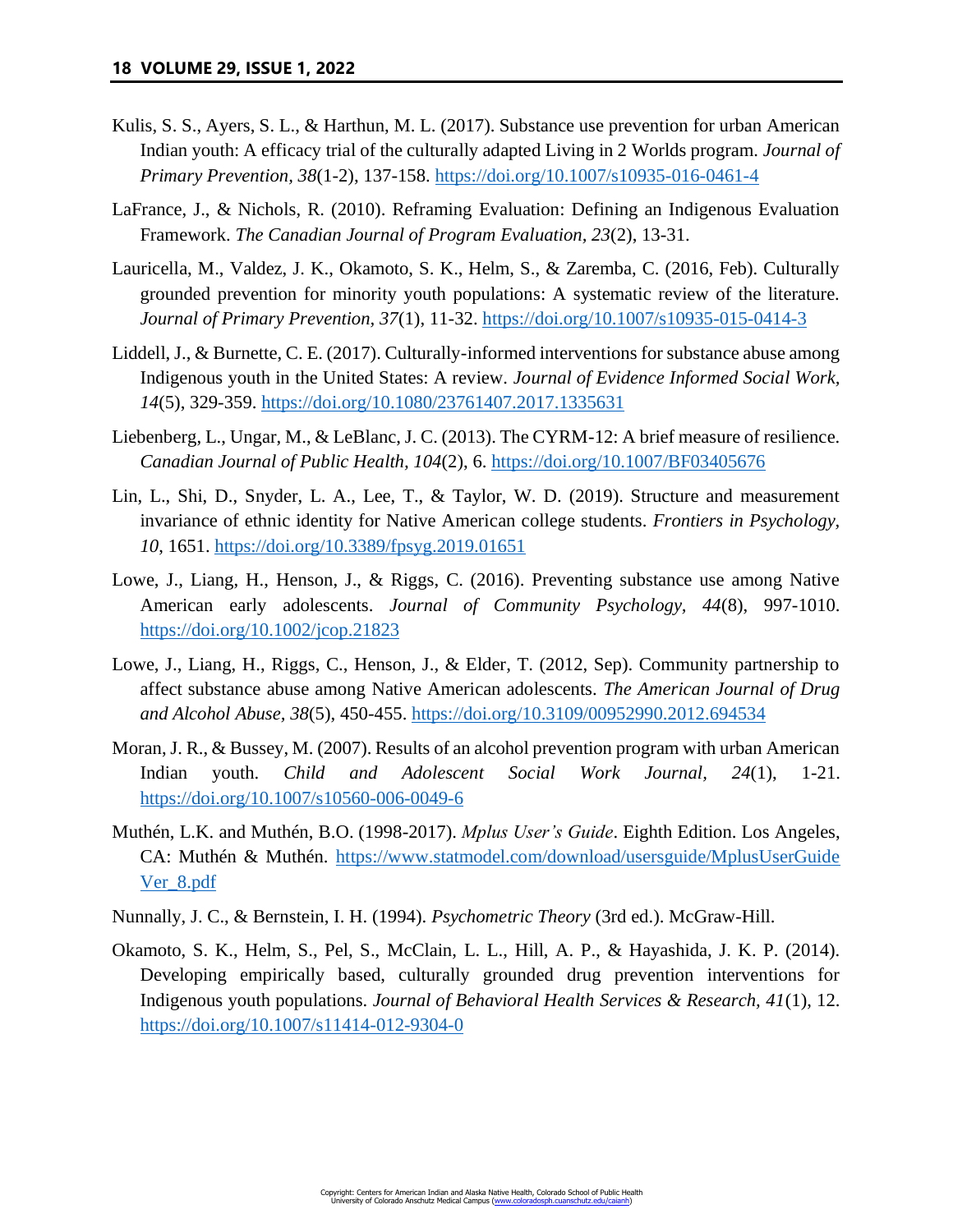- Kulis, S. S., Ayers, S. L., & Harthun, M. L. (2017). Substance use prevention for urban American Indian youth: A efficacy trial of the culturally adapted Living in 2 Worlds program. *Journal of Primary Prevention, 38*(1-2), 137-158.<https://doi.org/10.1007/s10935-016-0461-4>
- LaFrance, J., & Nichols, R. (2010). Reframing Evaluation: Defining an Indigenous Evaluation Framework. *The Canadian Journal of Program Evaluation, 23*(2), 13-31.
- Lauricella, M., Valdez, J. K., Okamoto, S. K., Helm, S., & Zaremba, C. (2016, Feb). Culturally grounded prevention for minority youth populations: A systematic review of the literature. *Journal of Primary Prevention, 37*(1), 11-32.<https://doi.org/10.1007/s10935-015-0414-3>
- Liddell, J., & Burnette, C. E. (2017). Culturally-informed interventions for substance abuse among Indigenous youth in the United States: A review. *Journal of Evidence Informed Social Work, 14*(5), 329-359.<https://doi.org/10.1080/23761407.2017.1335631>
- Liebenberg, L., Ungar, M., & LeBlanc, J. C. (2013). The CYRM-12: A brief measure of resilience. *Canadian Journal of Public Health, 104*(2), 6.<https://doi.org/10.1007/BF03405676>
- Lin, L., Shi, D., Snyder, L. A., Lee, T., & Taylor, W. D. (2019). Structure and measurement invariance of ethnic identity for Native American college students. *Frontiers in Psychology, 10*, 1651.<https://doi.org/10.3389/fpsyg.2019.01651>
- Lowe, J., Liang, H., Henson, J., & Riggs, C. (2016). Preventing substance use among Native American early adolescents. *Journal of Community Psychology, 44*(8), 997-1010. <https://doi.org/10.1002/jcop.21823>
- Lowe, J., Liang, H., Riggs, C., Henson, J., & Elder, T. (2012, Sep). Community partnership to affect substance abuse among Native American adolescents. *The American Journal of Drug and Alcohol Abuse, 38*(5), 450-455.<https://doi.org/10.3109/00952990.2012.694534>
- Moran, J. R., & Bussey, M. (2007). Results of an alcohol prevention program with urban American Indian youth. *Child and Adolescent Social Work Journal, 24*(1), 1-21. <https://doi.org/10.1007/s10560-006-0049-6>
- Muthén, L.K. and Muthén, B.O. (1998-2017). *Mplus User's Guide*. Eighth Edition. Los Angeles, CA: Muthén & Muthén. [https://www.statmodel.com/download/usersguide/MplusUserGuide](https://www.statmodel.com/download/usersguide/MplusUserGuideVer_8.pdf) [Ver\\_8.pdf](https://www.statmodel.com/download/usersguide/MplusUserGuideVer_8.pdf)
- Nunnally, J. C., & Bernstein, I. H. (1994). *Psychometric Theory* (3rd ed.). McGraw-Hill.
- Okamoto, S. K., Helm, S., Pel, S., McClain, L. L., Hill, A. P., & Hayashida, J. K. P. (2014). Developing empirically based, culturally grounded drug prevention interventions for Indigenous youth populations. *Journal of Behavioral Health Services & Research, 41*(1), 12. <https://doi.org/10.1007/s11414-012-9304-0>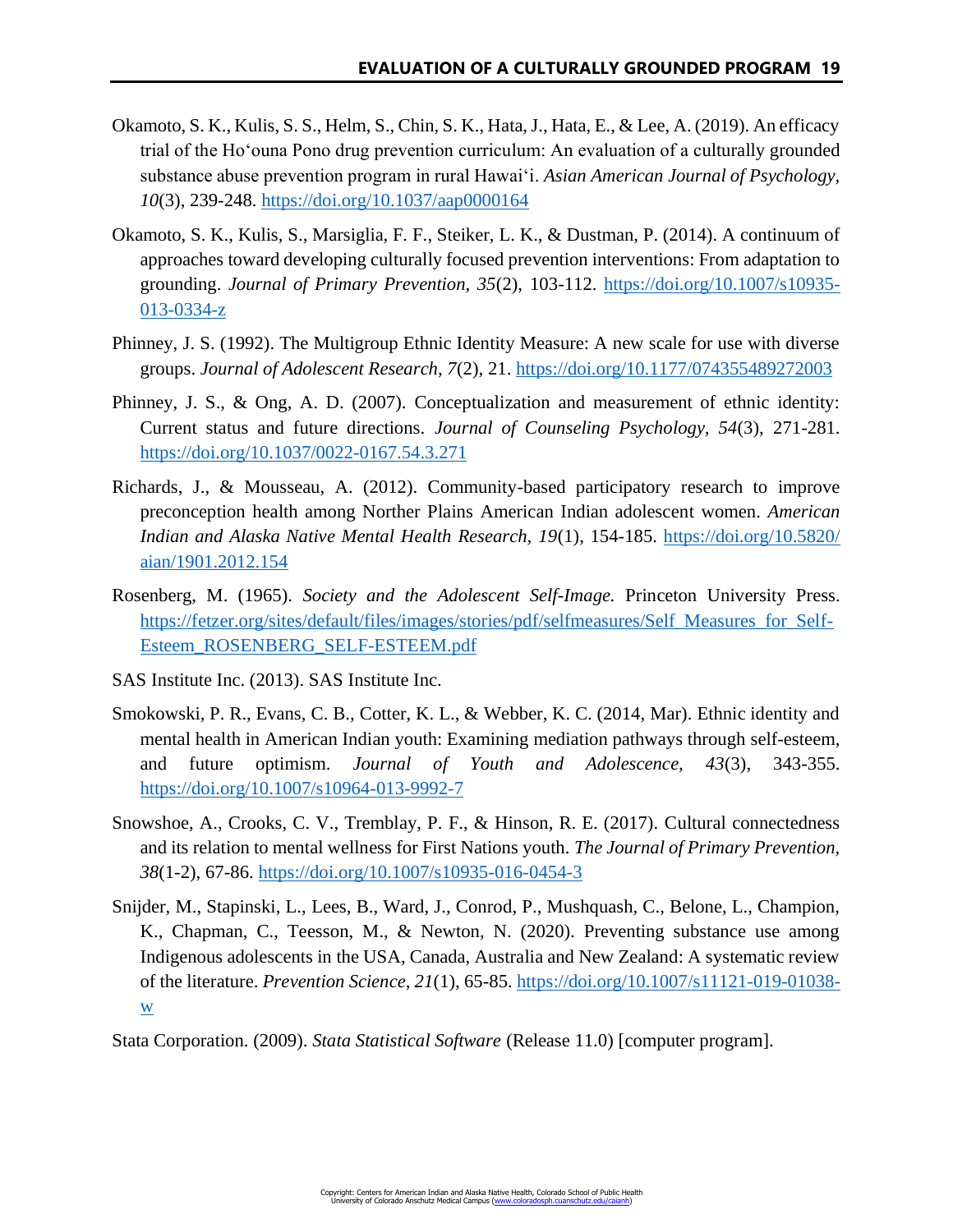- Okamoto, S. K., Kulis, S. S., Helm, S., Chin, S. K., Hata, J., Hata, E., & Lee, A. (2019). An efficacy trial of the Ho'ouna Pono drug prevention curriculum: An evaluation of a culturally grounded substance abuse prevention program in rural Hawai'i. *Asian American Journal of Psychology, 10*(3), 239-248.<https://doi.org/10.1037/aap0000164>
- Okamoto, S. K., Kulis, S., Marsiglia, F. F., Steiker, L. K., & Dustman, P. (2014). A continuum of approaches toward developing culturally focused prevention interventions: From adaptation to grounding. *Journal of Primary Prevention, 35*(2), 103-112. [https://doi.org/10.1007/s10935-](https://doi.org/10.1007/s10935-013-0334-z) [013-0334-z](https://doi.org/10.1007/s10935-013-0334-z)
- Phinney, J. S. (1992). The Multigroup Ethnic Identity Measure: A new scale for use with diverse groups. *Journal of Adolescent Research, 7*(2), 21.<https://doi.org/10.1177/074355489272003>
- Phinney, J. S., & Ong, A. D. (2007). Conceptualization and measurement of ethnic identity: Current status and future directions. *Journal of Counseling Psychology, 54*(3), 271-281. <https://doi.org/10.1037/0022-0167.54.3.271>
- Richards, J., & Mousseau, A. (2012). Community-based participatory research to improve preconception health among Norther Plains American Indian adolescent women. *American Indian and Alaska Native Mental Health Research, 19*(1), 154-185. [https://doi.org/10.5820/](https://doi.org/10.5820/aian/1901.2012.154) [aian/1901.2012.154](https://doi.org/10.5820/aian/1901.2012.154)
- Rosenberg, M. (1965). *Society and the Adolescent Self-Image.* Princeton University Press. [https://fetzer.org/sites/default/files/images/stories/pdf/selfmeasures/Self\\_Measures\\_for\\_Self-](https://fetzer.org/sites/default/files/images/stories/pdf/selfmeasures/Self_Measures_for_Self-Esteem_ROSENBERG_SELF-ESTEEM.pdf)[Esteem\\_ROSENBERG\\_SELF-ESTEEM.pdf](https://fetzer.org/sites/default/files/images/stories/pdf/selfmeasures/Self_Measures_for_Self-Esteem_ROSENBERG_SELF-ESTEEM.pdf)
- SAS Institute Inc. (2013). SAS Institute Inc.
- Smokowski, P. R., Evans, C. B., Cotter, K. L., & Webber, K. C. (2014, Mar). Ethnic identity and mental health in American Indian youth: Examining mediation pathways through self-esteem, and future optimism. *Journal of Youth and Adolescence, 43*(3), 343-355. <https://doi.org/10.1007/s10964-013-9992-7>
- Snowshoe, A., Crooks, C. V., Tremblay, P. F., & Hinson, R. E. (2017). Cultural connectedness and its relation to mental wellness for First Nations youth. *The Journal of Primary Prevention, 38*(1-2), 67-86.<https://doi.org/10.1007/s10935-016-0454-3>
- Snijder, M., Stapinski, L., Lees, B., Ward, J., Conrod, P., Mushquash, C., Belone, L., Champion, K., Chapman, C., Teesson, M., & Newton, N. (2020). Preventing substance use among Indigenous adolescents in the USA, Canada, Australia and New Zealand: A systematic review of the literature. *Prevention Science, 21*(1), 65-85. [https://doi.org/10.1007/s11121-019-01038](https://doi.org/10.1007/s11121-019-01038-w) [w](https://doi.org/10.1007/s11121-019-01038-w)
- Stata Corporation. (2009). *Stata Statistical Software* (Release 11.0) [computer program].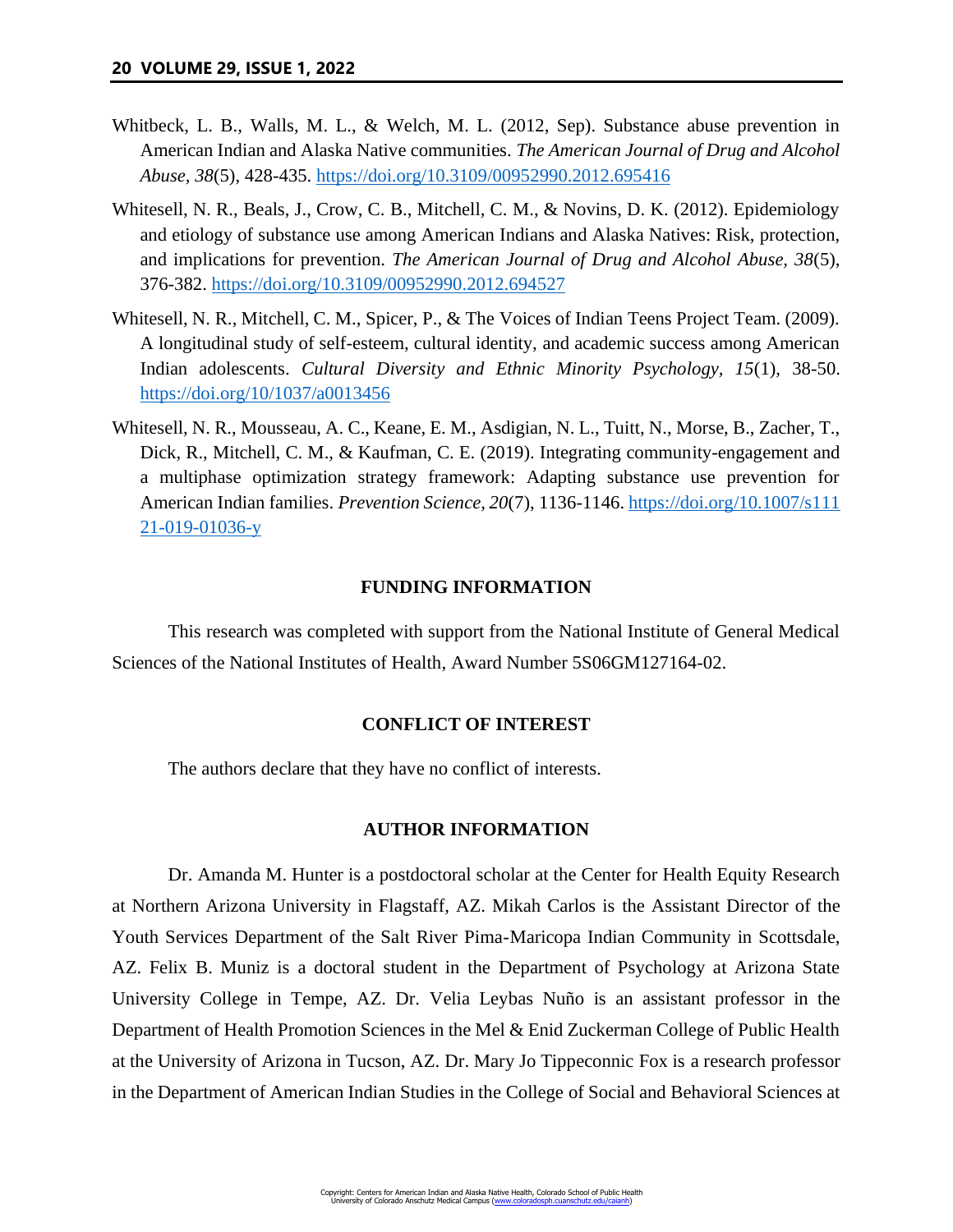- Whitbeck, L. B., Walls, M. L., & Welch, M. L. (2012, Sep). Substance abuse prevention in American Indian and Alaska Native communities. *The American Journal of Drug and Alcohol Abuse, 38*(5), 428-435.<https://doi.org/10.3109/00952990.2012.695416>
- Whitesell, N. R., Beals, J., Crow, C. B., Mitchell, C. M., & Novins, D. K. (2012). Epidemiology and etiology of substance use among American Indians and Alaska Natives: Risk, protection, and implications for prevention. *The American Journal of Drug and Alcohol Abuse, 38*(5), 376-382.<https://doi.org/10.3109/00952990.2012.694527>
- Whitesell, N. R., Mitchell, C. M., Spicer, P., & The Voices of Indian Teens Project Team. (2009). A longitudinal study of self-esteem, cultural identity, and academic success among American Indian adolescents. *Cultural Diversity and Ethnic Minority Psychology, 15*(1), 38-50. <https://doi.org/10/1037/a0013456>
- Whitesell, N. R., Mousseau, A. C., Keane, E. M., Asdigian, N. L., Tuitt, N., Morse, B., Zacher, T., Dick, R., Mitchell, C. M., & Kaufman, C. E. (2019). Integrating community-engagement and a multiphase optimization strategy framework: Adapting substance use prevention for American Indian families. *Prevention Science, 20*(7), 1136-1146. [https://doi.org/10.1007/s111](https://doi.org/10.1007/s11121-019-01036-y) [21-019-01036-y](https://doi.org/10.1007/s11121-019-01036-y)

#### **FUNDING INFORMATION**

This research was completed with support from the National Institute of General Medical Sciences of the National Institutes of Health, Award Number 5S06GM127164-02.

## **CONFLICT OF INTEREST**

The authors declare that they have no conflict of interests.

## **AUTHOR INFORMATION**

Dr. Amanda M. Hunter is a postdoctoral scholar at the Center for Health Equity Research at Northern Arizona University in Flagstaff, AZ. Mikah Carlos is the Assistant Director of the Youth Services Department of the Salt River Pima-Maricopa Indian Community in Scottsdale, AZ. Felix B. Muniz is a doctoral student in the Department of Psychology at Arizona State University College in Tempe, AZ. Dr. Velia Leybas Nuño is an assistant professor in the Department of Health Promotion Sciences in the Mel & Enid Zuckerman College of Public Health at the University of Arizona in Tucson, AZ. Dr. Mary Jo Tippeconnic Fox is a research professor in the Department of American Indian Studies in the College of Social and Behavioral Sciences at